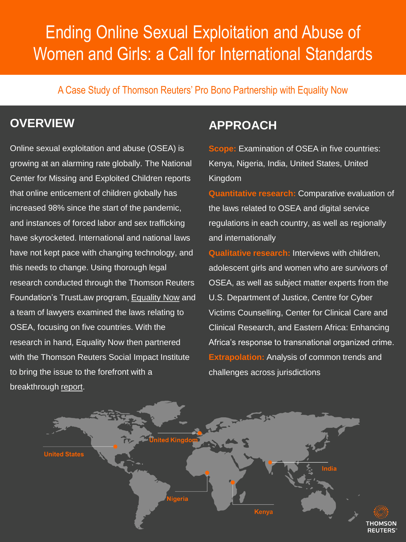# Ending Online Sexual Exploitation and Abuse of Women and Girls: a Call for International Standards

A Case Study of Thomson Reuters' Pro Bono Partnership with Equality Now

#### **OVERVIEW**

Online sexual exploitation and abuse (OSEA) is growing at an alarming rate globally. The National Center for Missing and Exploited Children reports that online enticement of children globally has increased 98% since the start of the pandemic, and instances of forced labor and sex trafficking have skyrocketed. International and national laws have not kept pace with changing technology, and this needs to change. Using thorough legal research conducted through the Thomson Reuters Foundation's TrustLaw program, [Equality Now](https://www.equalitynow.org/) and a team of lawyers examined the laws relating to OSEA, focusing on five countries. With the research in hand, Equality Now then partnered with the Thomson Reuters Social Impact Institute to bring the issue to the forefront with a breakthrough [report.](https://www.equalitynow.org/resource/ending-online-sexual-exploitation-and-abuse-of-women-and-girls-a-call-for-international-standards/)

#### **APPROACH**

**Scope:** Examination of OSEA in five countries: Kenya, Nigeria, India, United States, United Kingdom

**Quantitative research:** Comparative evaluation of the laws related to OSEA and digital service regulations in each country, as well as regionally and internationally

**Qualitative research:** Interviews with children, adolescent girls and women who are survivors of OSEA, as well as subject matter experts from the U.S. Department of Justice, Centre for Cyber Victims Counselling, Center for Clinical Care and Clinical Research, and Eastern Africa: Enhancing Africa's response to transnational organized crime. **Extrapolation:** Analysis of common trends and challenges across jurisdictions

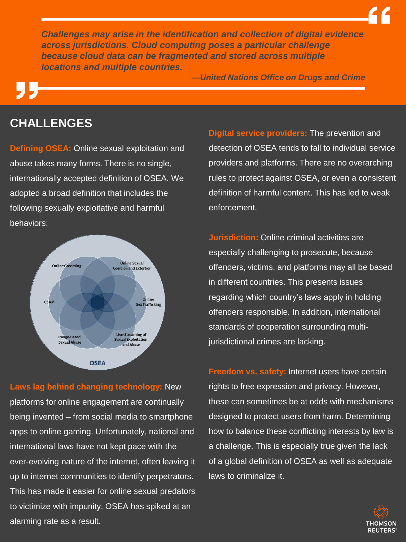*Challenges may arise in the identification and collection of digital evidence across jurisdictions. Cloud computing poses a particular challenge because cloud data can be fragmented and stored across multiple locations and multiple countries.*

*—United Nations Office on Drugs and Crime*

#### **CHALLENGES**

**Defining OSEA:** Online sexual exploitation and abuse takes many forms. There is no single, internationally accepted definition of OSEA. We adopted a broad definition that includes the following sexually exploitative and harmful behaviors:



alarming rate as a result.<br>' **Laws lag behind changing technology:** New platforms for online engagement are continually being invented – from social media to smartphone apps to online gaming. Unfortunately, national and international laws have not kept pace with the ever-evolving nature of the internet, often leaving it up to internet communities to identify perpetrators. This has made it easier for online sexual predators to victimize with impunity. OSEA has spiked at an

**Digital service providers:** The prevention and detection of OSEA tends to fall to individual service providers and platforms. There are no overarching rules to protect against OSEA, or even a consistent definition of harmful content. This has led to weak enforcement.

**Jurisdiction:** Online criminal activities are especially challenging to prosecute, because offenders, victims, and platforms may all be based in different countries. This presents issues regarding which country's laws apply in holding offenders responsible. In addition, international standards of cooperation surrounding multijurisdictional crimes are lacking.

**Freedom vs. safety:** Internet users have certain rights to free expression and privacy. However, these can sometimes be at odds with mechanisms designed to protect users from harm. Determining how to balance these conflicting interests by law is a challenge. This is especially true given the lack of a global definition of OSEA as well as adequate laws to criminalize it.